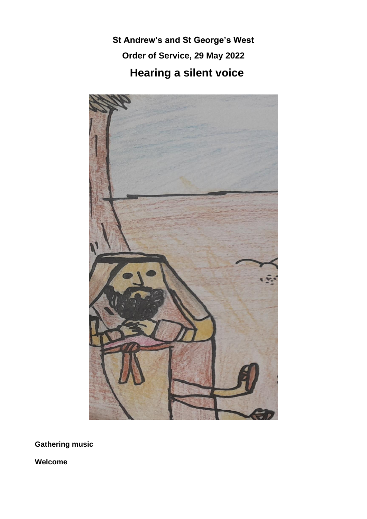**St Andrew's and St George's West Order of Service, 29 May 2022 Hearing a silent voice**



**Gathering music**

**Welcome**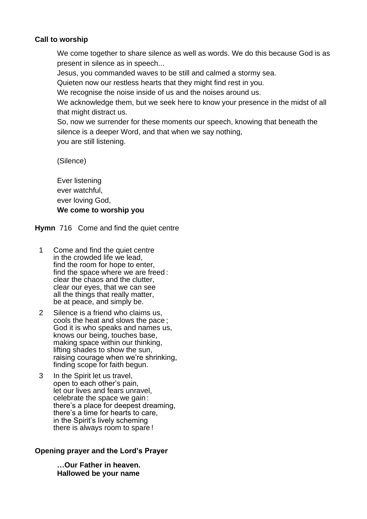## **Call to worship**

We come together to share silence as well as words. We do this because God is as present in silence as in speech...

Jesus, you commanded waves to be still and calmed a stormy sea.

Quieten now our restless hearts that they might find rest in you.

We recognise the noise inside of us and the noises around us.

We acknowledge them, but we seek here to know your presence in the midst of all that might distract us.

So, now we surrender for these moments our speech, knowing that beneath the silence is a deeper Word, and that when we say nothing, you are still listening.

(Silence)

Ever listening ever watchful, ever loving God, **We come to worship you** 

**Hymn** 716 Come and find the quiet centre

- 1 Come and find the quiet centre in the crowded life we lead, find the room for hope to enter, find the space where we are freed : clear the chaos and the clutter, clear our eyes, that we can see all the things that really matter, be at peace, and simply be.
- 2 Silence is a friend who claims us, cools the heat and slows the pace ; God it is who speaks and names us, knows our being, touches base, making space within our thinking, lifting shades to show the sun, raising courage when we're shrinking, finding scope for faith begun.
- 3 In the Spirit let us travel, open to each other's pain, let our lives and fears unravel, celebrate the space we gain : there's a place for deepest dreaming, there's a time for hearts to care, in the Spirit's lively scheming there is always room to spare !

# **Opening prayer and the Lord's Prayer**

**…Our Father in heaven. Hallowed be your name**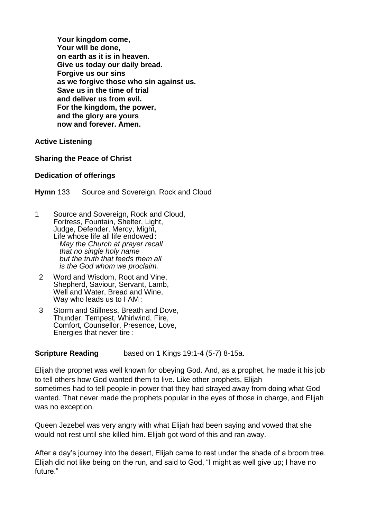**Your kingdom come, Your will be done, on earth as it is in heaven. Give us today our daily bread. Forgive us our sins as we forgive those who sin against us. Save us in the time of trial and deliver us from evil. For the kingdom, the power, and the glory are yours now and forever. Amen.**

**Active Listening**

## **Sharing the Peace of Christ**

#### **Dedication of offerings**

**Hymn** 133 Source and Sovereign, Rock and Cloud

- 1 Source and Sovereign, Rock and Cloud, Fortress, Fountain, Shelter, Light, Judge, Defender, Mercy, Might, Life whose life all life endowed : *May the Church at prayer recall that no single holy name but the truth that feeds them all is the God whom we proclaim.*
- 2 Word and Wisdom, Root and Vine, Shepherd, Saviour, Servant, Lamb, Well and Water, Bread and Wine, Way who leads us to I AM :
- 3 Storm and Stillness, Breath and Dove, Thunder, Tempest, Whirlwind, Fire, Comfort, Counsellor, Presence, Love, Energies that never tire :

## **Scripture Reading** based on 1 Kings 19:1-4 (5-7) 8-15a.

Elijah the prophet was well known for obeying God. And, as a prophet, he made it his job to tell others how God wanted them to live. Like other prophets, Elijah sometimes had to tell people in power that they had strayed away from doing what God wanted. That never made the prophets popular in the eyes of those in charge, and Elijah was no exception.

Queen Jezebel was very angry with what Elijah had been saying and vowed that she would not rest until she killed him. Elijah got word of this and ran away.

After a day's journey into the desert, Elijah came to rest under the shade of a broom tree. Elijah did not like being on the run, and said to God, "I might as well give up; I have no future."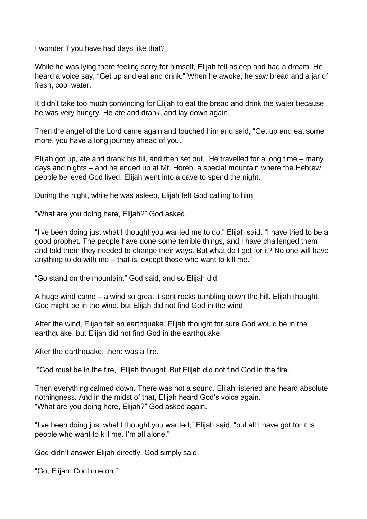I wonder if you have had days like that?

While he was lying there feeling sorry for himself, Elijah fell asleep and had a dream. He heard a voice say, "Get up and eat and drink." When he awoke, he saw bread and a jar of fresh, cool water.

It didn't take too much convincing for Elijah to eat the bread and drink the water because he was very hungry. He ate and drank, and lay down again.

Then the angel of the Lord came again and touched him and said, "Get up and eat some more, you have a long journey ahead of you."

Elijah got up, ate and drank his fill, and then set out. He travelled for a long time – many days and nights – and he ended up at Mt. Horeb, a special mountain where the Hebrew people believed God lived. Elijah went into a cave to spend the night.

During the night, while he was asleep, Elijah felt God calling to him.

"What are you doing here, Elijah?" God asked.

"I've been doing just what I thought you wanted me to do," Elijah said. "I have tried to be a good prophet. The people have done some terrible things, and I have challenged them and told them they needed to change their ways. But what do I get for it? No one will have anything to do with me – that is, except those who want to kill me."

"Go stand on the mountain," God said, and so Elijah did.

A huge wind came – a wind so great it sent rocks tumbling down the hill. Elijah thought God might be in the wind, but Elijah did not find God in the wind.

After the wind, Elijah felt an earthquake. Elijah thought for sure God would be in the earthquake, but Elijah did not find God in the earthquake.

After the earthquake, there was a fire.

"God must be in the fire," Elijah thought. But Elijah did not find God in the fire.

Then everything calmed down. There was not a sound. Elijah listened and heard absolute nothingness. And in the midst of that, Elijah heard God's voice again. "What are you doing here, Elijah?" God asked again.

"I've been doing just what I thought you wanted," Elijah said, "but all I have got for it is people who want to kill me. I'm all alone."

God didn't answer Elijah directly. God simply said,

"Go, Elijah. Continue on."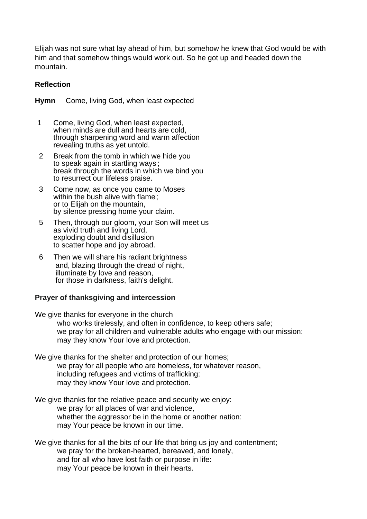Elijah was not sure what lay ahead of him, but somehow he knew that God would be with him and that somehow things would work out. So he got up and headed down the mountain.

## **Reflection**

**Hymn** Come, living God, when least expected

- 1 Come, living God, when least expected, when minds are dull and hearts are cold, through sharpening word and warm affection revealing truths as yet untold.
- 2 Break from the tomb in which we hide you to speak again in startling ways ; break through the words in which we bind you to resurrect our lifeless praise.
- 3 Come now, as once you came to Moses within the bush alive with flame: or to Elijah on the mountain, by silence pressing home your claim.
- 5 Then, through our gloom, your Son will meet us as vivid truth and living Lord, exploding doubt and disillusion to scatter hope and joy abroad.
- 6 Then we will share his radiant brightness and, blazing through the dread of night, illuminate by love and reason, for those in darkness, faith's delight.

## **Prayer of thanksgiving and intercession**

We give thanks for everyone in the church who works tirelessly, and often in confidence, to keep others safe; we pray for all children and vulnerable adults who engage with our mission: may they know Your love and protection.

- We give thanks for the shelter and protection of our homes: we pray for all people who are homeless, for whatever reason, including refugees and victims of trafficking: may they know Your love and protection.
- We give thanks for the relative peace and security we enjoy: we pray for all places of war and violence, whether the aggressor be in the home or another nation: may Your peace be known in our time.

We give thanks for all the bits of our life that bring us joy and contentment; we pray for the broken-hearted, bereaved, and lonely, and for all who have lost faith or purpose in life: may Your peace be known in their hearts.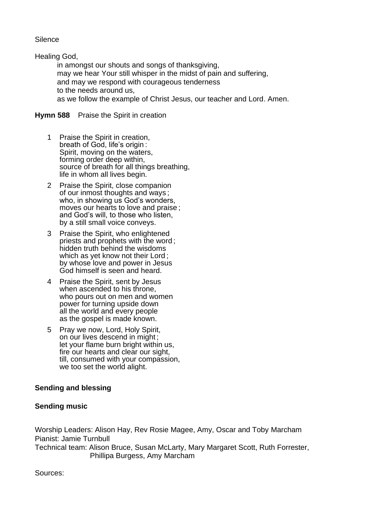**Silence** 

Healing God,

in amongst our shouts and songs of thanksgiving, may we hear Your still whisper in the midst of pain and suffering, and may we respond with courageous tenderness to the needs around us, as we follow the example of Christ Jesus, our teacher and Lord. Amen.

## **Hymn 588** Praise the Spirit in creation

- 1 Praise the Spirit in creation, breath of God, life's origin : Spirit, moving on the waters, forming order deep within, source of breath for all things breathing, life in whom all lives begin.
- 2 Praise the Spirit, close companion of our inmost thoughts and ways ; who, in showing us God's wonders, moves our hearts to love and praise ; and God's will, to those who listen, by a still small voice conveys.
- 3 Praise the Spirit, who enlightened priests and prophets with the word ; hidden truth behind the wisdoms which as yet know not their Lord ; by whose love and power in Jesus God himself is seen and heard.
- 4 Praise the Spirit, sent by Jesus when ascended to his throne, who pours out on men and women power for turning upside down all the world and every people as the gospel is made known.
- 5 Pray we now, Lord, Holy Spirit, on our lives descend in might ; let your flame burn bright within us, fire our hearts and clear our sight, till, consumed with your compassion, we too set the world alight.

# **Sending and blessing**

## **Sending music**

Worship Leaders: Alison Hay, Rev Rosie Magee, Amy, Oscar and Toby Marcham Pianist: Jamie Turnbull Technical team: Alison Bruce, Susan McLarty, Mary Margaret Scott, Ruth Forrester, Phillipa Burgess, Amy Marcham

Sources: